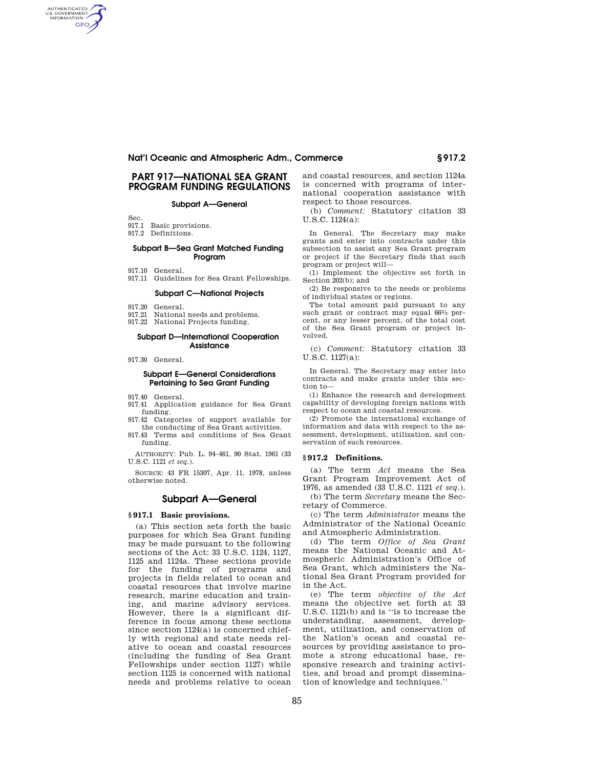# **PART 917—NATIONAL SEA GRANT PROGRAM FUNDING REGULATIONS**

## **Subpart A—General**

Sec.

AUTHENTICATED<br>U.S. GOVERNMENT<br>INFORMATION **GPO** 

- 917.1 Basic provisions.
- 917.2 Definitions.

## **Subpart B—Sea Grant Matched Funding Program**

- 917.10 General.
- 917.11 Guidelines for Sea Grant Fellowships.

#### **Subpart C—National Projects**

- 917.20 General.
- 917.21 National needs and problems.
- 917.22 National Projects funding.

#### **Subpart D—International Cooperation Assistance**

917.30 General.

## **Subpart E—General Considerations Pertaining to Sea Grant Funding**

917.40 General.

- 917.41 Application guidance for Sea Grant funding.
- 917.42 Categories of support available for the conducting of Sea Grant activities.
- 917.43 Terms and conditions of Sea Grant funding.

AUTHORITY: Pub. L. 94–461, 90 Stat. 1961 (33 U.S.C. 1121 *et seq.*).

SOURCE: 43 FR 15307, Apr. 11, 1978, unless otherwise noted.

## **Subpart A—General**

# **§ 917.1 Basic provisions.**

(a) This section sets forth the basic purposes for which Sea Grant funding may be made pursuant to the following sections of the Act: 33 U.S.C. 1124, 1127, 1125 and 1124a. These sections provide for the funding of programs and projects in fields related to ocean and coastal resources that involve marine research, marine education and training, and marine advisory services. However, there is a significant difference in focus among these sections since section 1124(a) is concerned chiefly with regional and state needs relative to ocean and coastal resources (including the funding of Sea Grant Fellowships under section 1127) while section 1125 is concerned with national needs and problems relative to ocean

and coastal resources, and section 1124a is concerned with programs of international cooperation assistance with respect to those resources.

(b) *Comment:* Statutory citation 33 U.S.C. 1124(a):

In General. The Secretary may make grants and enter into contracts under this subsection to assist any Sea Grant program or project if the Secretary finds that such program or project will—

(1) Implement the objective set forth in Section 202(b); and

(2) Be responsive to the needs or problems of individual states or regions.

The total amount paid pursuant to any such grant or contract may equal 66% percent, or any lesser percent, of the total cost of the Sea Grant program or project involved.

(c) *Comment:* Statutory citation 33 U.S.C. 1127(a):

In General. The Secretary may enter into contracts and make grants under this section to—

(1) Enhance the research and development capability of developing foreign nations with respect to ocean and coastal resources.

(2) Promote the international exchange of information and data with respect to the assessment, development, utilization, and conservation of such resources.

### **§ 917.2 Definitions.**

(a) The term *Act* means the Sea Grant Program Improvement Act of 1976, as amended (33 U.S.C. 1121 *et seq.*).

(b) The term *Secretary* means the Secretary of Commerce.

(c) The term *Administrator* means the Administrator of the National Oceanic and Atmospheric Administration.

(d) The term *Office of Sea Grant*  means the National Oceanic and Atmospheric Administration's Office of Sea Grant, which administers the National Sea Grant Program provided for in the Act.

(e) The term *objective of the Act*  means the objective set forth at 33 U.S.C. 1121(b) and is ''is to increase the understanding, assessment, development, utilization, and conservation of the Nation's ocean and coastal resources by providing assistance to promote a strong educational base, responsive research and training activities, and broad and prompt dissemination of knowledge and techniques.''

85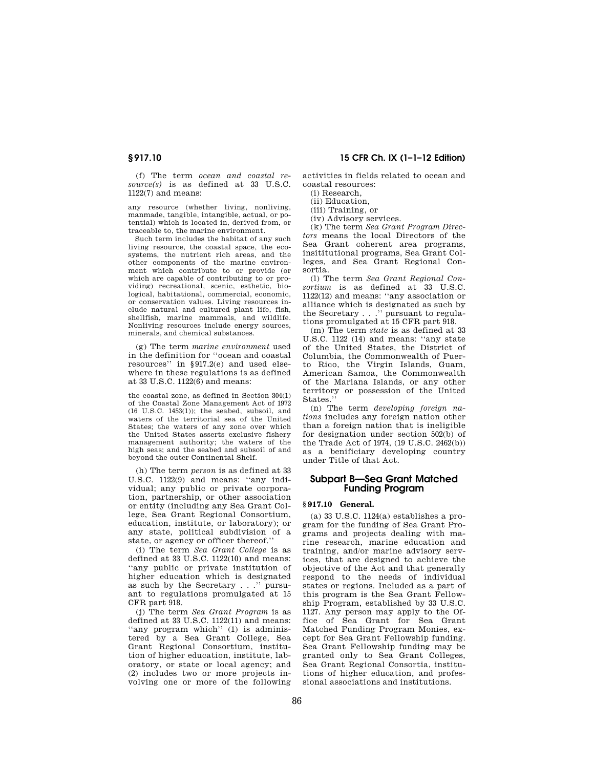(f) The term *ocean and coastal resource(s)* is as defined at 33 U.S.C. 1122(7) and means:

any resource (whether living, nonliving, manmade, tangible, intangible, actual, or potential) which is located in, derived from, or traceable to, the marine environment.

Such term includes the habitat of any such living resource, the coastal space, the ecosystems, the nutrient rich areas, and the other components of the marine environment which contribute to or provide (or which are capable of contributing to or providing) recreational, scenic, esthetic, biological, habitational, commercial, economic, or conservation values. Living resources include natural and cultured plant life, fish, shellfish, marine mammals, and wildlife. Nonliving resources include energy sources, minerals, and chemical substances.

(g) The term *marine environment* used in the definition for ''ocean and coastal resources'' in §917.2(e) and used elsewhere in these regulations is as defined at 33 U.S.C. 1122(6) and means:

the coastal zone, as defined in Section 304(1) of the Coastal Zone Management Act of 1972 (16 U.S.C. 1453(1)); the seabed, subsoil, and waters of the territorial sea of the United States; the waters of any zone over which the United States asserts exclusive fishery management authority; the waters of the high seas; and the seabed and subsoil of and beyond the outer Continental Shelf.

(h) The term *person* is as defined at 33 U.S.C. 1122(9) and means: ''any individual; any public or private corporation, partnership, or other association or entity (including any Sea Grant College, Sea Grant Regional Consortium, education, institute, or laboratory); or any state, political subdivision of a state, or agency or officer thereof.''

(i) The term *Sea Grant College* is as defined at 33 U.S.C. 1122(10) and means: ''any public or private institution of higher education which is designated as such by the Secretary . . .'' pursuant to regulations promulgated at 15 CFR part 918.

(j) The term *Sea Grant Program* is as defined at 33 U.S.C. 1122(11) and means: "any program which" (1) is administered by a Sea Grant College, Sea Grant Regional Consortium, institution of higher education, institute, laboratory, or state or local agency; and (2) includes two or more projects involving one or more of the following

# **§ 917.10 15 CFR Ch. IX (1–1–12 Edition)**

activities in fields related to ocean and coastal resources:

(i) Research,

(ii) Education,

- (iii) Training, or
- (iv) Advisory services.

(k) The term *Sea Grant Program Directors* means the local Directors of the Sea Grant coherent area programs, insititutional programs, Sea Grant Colleges, and Sea Grant Regional Consortia.

(l) The term *Sea Grant Regional Consortium* is as defined at 33 U.S.C. 1122(12) and means: ''any association or alliance which is designated as such by the Secretary . . .'' pursuant to regulations promulgated at 15 CFR part 918.

(m) The term *state* is as defined at 33 U.S.C. 1122 (14) and means: ''any state of the United States, the District of Columbia, the Commonwealth of Puerto Rico, the Virgin Islands, Guam, American Samoa, the Commonwealth of the Mariana Islands, or any other territory or possession of the United States.''

(n) The term *developing foreign nations* includes any foreign nation other than a foreign nation that is ineligible for designation under section 502(b) of the Trade Act of 1974, (19 U.S.C. 2462(b)) as a benificiary developing country under Title of that Act.

# **Subpart B—Sea Grant Matched Funding Program**

### **§ 917.10 General.**

(a) 33 U.S.C. 1124(a) establishes a program for the funding of Sea Grant Programs and projects dealing with marine research, marine education and training, and/or marine advisory services, that are designed to achieve the objective of the Act and that generally respond to the needs of individual states or regions. Included as a part of this program is the Sea Grant Fellowship Program, established by 33 U.S.C. 1127. Any person may apply to the Office of Sea Grant for Sea Grant Matched Funding Program Monies, except for Sea Grant Fellowship funding. Sea Grant Fellowship funding may be granted only to Sea Grant Colleges, Sea Grant Regional Consortia, institutions of higher education, and professional associations and institutions.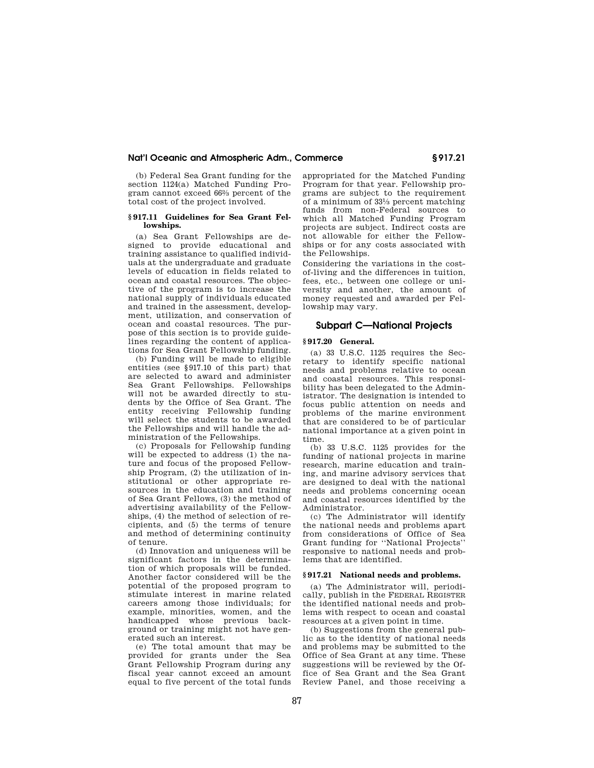(b) Federal Sea Grant funding for the section 1124(a) Matched Funding Program cannot exceed 662⁄3 percent of the total cost of the project involved.

#### **§ 917.11 Guidelines for Sea Grant Fellowships.**

(a) Sea Grant Fellowships are designed to provide educational and training assistance to qualified individuals at the undergraduate and graduate levels of education in fields related to ocean and coastal resources. The objective of the program is to increase the national supply of individuals educated and trained in the assessment, development, utilization, and conservation of ocean and coastal resources. The purpose of this section is to provide guidelines regarding the content of applications for Sea Grant Fellowship funding.

(b) Funding will be made to eligible entities (see §917.10 of this part) that are selected to award and administer Sea Grant Fellowships. Fellowships will not be awarded directly to students by the Office of Sea Grant. The entity receiving Fellowship funding will select the students to be awarded the Fellowships and will handle the administration of the Fellowships.

(c) Proposals for Fellowship funding will be expected to address (1) the nature and focus of the proposed Fellowship Program, (2) the utilization of institutional or other appropriate resources in the education and training of Sea Grant Fellows, (3) the method of advertising availability of the Fellowships, (4) the method of selection of recipients, and (5) the terms of tenure and method of determining continuity of tenure.

(d) Innovation and uniqueness will be significant factors in the determination of which proposals will be funded. Another factor considered will be the potential of the proposed program to stimulate interest in marine related careers among those individuals; for example, minorities, women, and the handicapped whose previous background or training might not have generated such an interest.

(e) The total amount that may be provided for grants under the Sea Grant Fellowship Program during any fiscal year cannot exceed an amount equal to five percent of the total funds appropriated for the Matched Funding Program for that year. Fellowship programs are subject to the requirement of a minimum of 331⁄3 percent matching funds from non-Federal sources to which all Matched Funding Program projects are subject. Indirect costs are not allowable for either the Fellowships or for any costs associated with the Fellowships.

Considering the variations in the costof-living and the differences in tuition, fees, etc., between one college or university and another, the amount of money requested and awarded per Fellowship may vary.

# **Subpart C—National Projects**

## **§ 917.20 General.**

(a) 33 U.S.C. 1125 requires the Secretary to identify specific national needs and problems relative to ocean and coastal resources. This responsibility has been delegated to the Administrator. The designation is intended to focus public attention on needs and problems of the marine environment that are considered to be of particular national importance at a given point in time.

(b) 33 U.S.C. 1125 provides for the funding of national projects in marine research, marine education and training, and marine advisory services that are designed to deal with the national needs and problems concerning ocean and coastal resources identified by the Administrator.

(c) The Administrator will identify the national needs and problems apart from considerations of Office of Sea Grant funding for ''National Projects'' responsive to national needs and problems that are identified.

## **§ 917.21 National needs and problems.**

(a) The Administrator will, periodically, publish in the FEDERAL REGISTER the identified national needs and problems with respect to ocean and coastal resources at a given point in time.

(b) Suggestions from the general public as to the identity of national needs and problems may be submitted to the Office of Sea Grant at any time. These suggestions will be reviewed by the Office of Sea Grant and the Sea Grant Review Panel, and those receiving a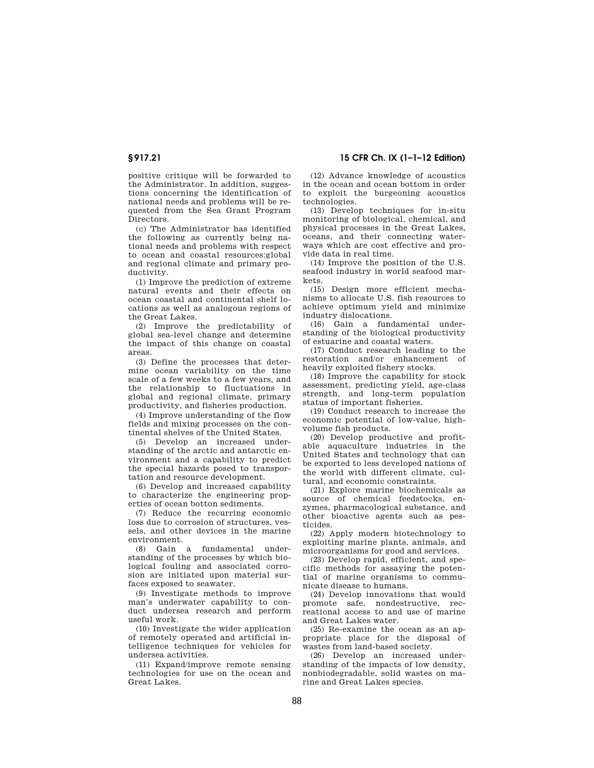positive critique will be forwarded to the Administrator. In addition, suggestions concerning the identification of national needs and problems will be requested from the Sea Grant Program Directors.

(c) The Administrator has identified the following as currently being national needs and problems with respect to ocean and coastal resources:global and regional climate and primary productivity.

(1) Improve the prediction of extreme natural events and their effects on ocean coastal and continental shelf locations as well as analogous regions of the Great Lakes.

(2) Improve the predictability of global sea-level change and determine the impact of this change on coastal areas.

(3) Define the processes that determine ocean variability on the time scale of a few weeks to a few years, and the relationship to fluctuations in global and regional climate, primary productivity, and fisheries production.

(4) Improve understanding of the flow fields and mixing processes on the continental shelves of the United States.

(5) Develop an increased understanding of the arctic and antarctic environment and a capability to predict the special hazards posed to transportation and resource development.

(6) Develop and increased capability to characterize the engineering properties of ocean botton sediments.

(7) Reduce the recurring economic loss due to corrosion of structures, vessels, and other devices in the marine environment.

(8) Gain a fundamental understanding of the processes by which biological fouling and associated corrosion are initiated upon material surfaces exposed to seawater.

(9) Investigate methods to improve man's underwater capability to conduct undersea research and perform useful work.

(10) Investigate the wider application of remotely operated and artificial intelligence techniques for vehicles for undersea activities.

(11) Expand/improve remote sensing technologies for use on the ocean and Great Lakes.

**§ 917.21 15 CFR Ch. IX (1–1–12 Edition)** 

(12) Advance knowledge of acoustics in the ocean and ocean bottom in order to exploit the burgeoning acoustics technologies.

(13) Develop techniques for in-situ monitoring of biological, chemical, and physical processes in the Great Lakes, oceans, and their connecting waterways which are cost effective and provide data in real time.

(14) Improve the position of the U.S. seafood industry in world seafood markets.

(15) Design more efficient mechanisms to allocate U.S. fish resources to achieve optimum yield and minimize industry dislocations.

(16) Gain a fundamental understanding of the biological productivity of estuarine and coastal waters.

(17) Conduct research leading to the restoration and/or enhancement of heavily exploited fishery stocks.

(18) Improve the capability for stock assessment, predicting yield, age-class strength, and long-term population status of important fisheries.

(19) Conduct research to increase the economic potential of low-value, highvolume fish products.

(20) Develop productive and profitable aquaculture industries in the United States and technology that can be exported to less developed nations of the world with different climate, cultural, and economic constraints.

(21) Explore marine biochemicals as source of chemical feedstocks, enzymes, pharmacological substance, and other bioactive agents such as pesticides.

(22) Apply modern biotechnology to exploiting marine plants, animals, and microorganisms for good and services.

(23) Develop rapid, efficient, and specific methods for assaying the potential of marine organisms to communicate disease to humans.

(24) Develop innovations that would promote safe, nondestructive, recreational access to and use of marine and Great Lakes water.

(25) Re-examine the ocean as an appropriate place for the disposal of wastes from land-based society.

(26) Develop an increased understanding of the impacts of low density, nonbiodegradable, solid wastes on marine and Great Lakes species.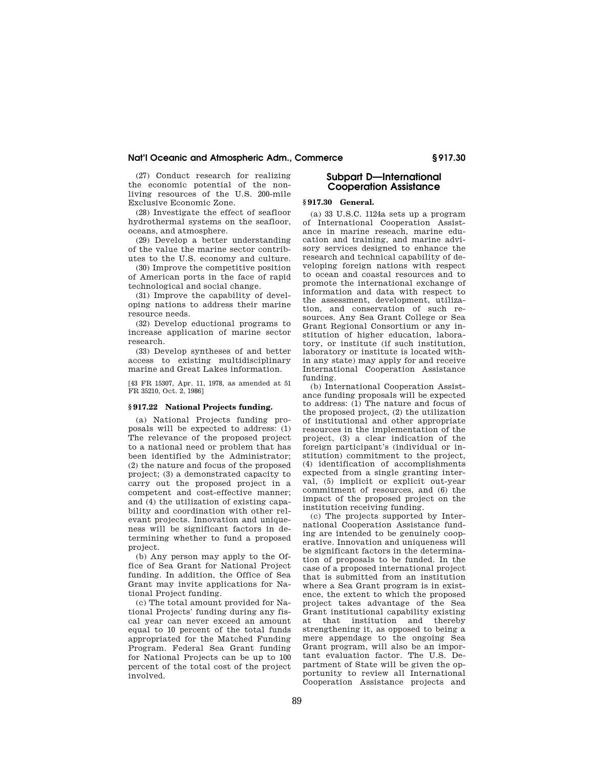(27) Conduct research for realizing the economic potential of the nonliving resources of the U.S. 200-mile Exclusive Economic Zone.

(28) Investigate the effect of seafloor hydrothermal systems on the seafloor, oceans, and atmosphere.

(29) Develop a better understanding of the value the marine sector contributes to the U.S. economy and culture.

(30) Improve the competitive position of American ports in the face of rapid technological and social change.

(31) Improve the capability of developing nations to address their marine resource needs.

(32) Develop eductional programs to increase application of marine sector research.

(33) Develop syntheses of and better access to existing multidisciplinary marine and Great Lakes information.

[43 FR 15307, Apr. 11, 1978, as amended at 51 FR 35210, Oct. 2, 1986]

### **§ 917.22 National Projects funding.**

(a) National Projects funding proposals will be expected to address: (1) The relevance of the proposed project to a national need or problem that has been identified by the Administrator; (2) the nature and focus of the proposed project; (3) a demonstrated capacity to carry out the proposed project in a competent and cost-effective manner; and (4) the utilization of existing capability and coordination with other relevant projects. Innovation and uniqueness will be significant factors in determining whether to fund a proposed project.

(b) Any person may apply to the Office of Sea Grant for National Project funding. In addition, the Office of Sea Grant may invite applications for National Project funding.

(c) The total amount provided for National Projects' funding during any fiscal year can never exceed an amount equal to 10 percent of the total funds appropriated for the Matched Funding Program. Federal Sea Grant funding for National Projects can be up to 100 percent of the total cost of the project involved.

# **Subpart D—International Cooperation Assistance**

## **§ 917.30 General.**

(a) 33 U.S.C. 1124a sets up a program of International Cooperation Assistance in marine reseach, marine education and training, and marine advisory services designed to enhance the research and technical capability of developing foreign nations with respect to ocean and coastal resources and to promote the international exchange of information and data with respect to the assessment, development, utilization, and conservation of such resources. Any Sea Grant College or Sea Grant Regional Consortium or any institution of higher education, laboratory, or institute (if such institution, laboratory or institute is located within any state) may apply for and receive International Cooperation Assistance funding.

(b) International Cooperation Assistance funding proposals will be expected to address: (1) The nature and focus of the proposed project, (2) the utilization of institutional and other appropriate resources in the implementation of the project, (3) a clear indication of the foreign participant's (individual or institution) commitment to the project, (4) identification of accomplishments expected from a single granting interval, (5) implicit or explicit out-year commitment of resources, and (6) the impact of the proposed project on the institution receiving funding.

(c) The projects supported by International Cooperation Assistance funding are intended to be genuinely cooperative. Innovation and uniqueness will be significant factors in the determination of proposals to be funded. In the case of a proposed international project that is submitted from an institution where a Sea Grant program is in existence, the extent to which the proposed project takes advantage of the Sea Grant institutional capability existing at that institution and thereby strengthening it, as opposed to being a mere appendage to the ongoing Sea Grant program, will also be an important evaluation factor. The U.S. Department of State will be given the opportunity to review all International Cooperation Assistance projects and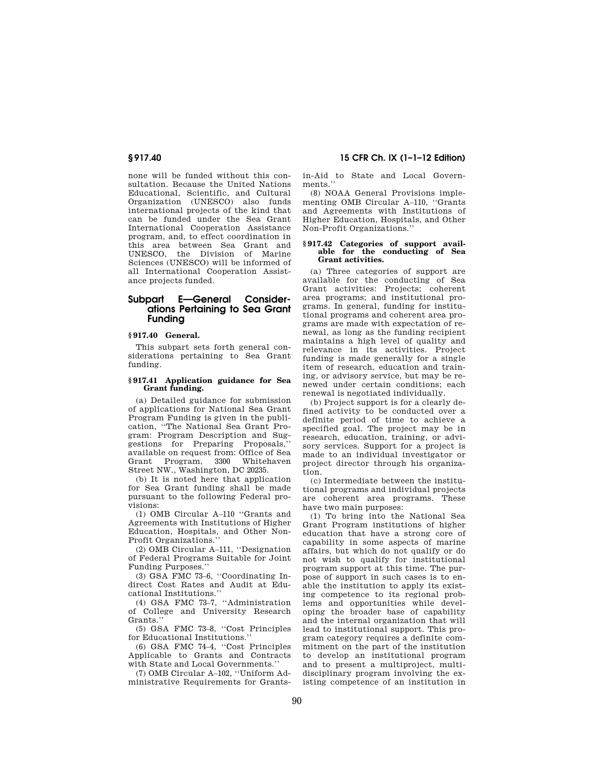none will be funded without this consultation. Because the United Nations Educational, Scientific, and Cultural Organization (UNESCO) also funds international projects of the kind that can be funded under the Sea Grant International Cooperation Assistance program, and, to effect coordination in this area between Sea Grant and UNESCO, the Division of Marine Sciences (UNESCO) will be informed of all International Cooperation Assistance projects funded.

# **Subpart E—General Considerations Pertaining to Sea Grant Funding**

# **§ 917.40 General.**

This subpart sets forth general considerations pertaining to Sea Grant funding.

#### **§ 917.41 Application guidance for Sea Grant funding.**

(a) Detailed guidance for submission of applications for National Sea Grant Program Funding is given in the publication, ''The National Sea Grant Program: Program Description and Suggestions for Preparing Proposals,'' available on request from: Office of Sea Program, 3300 Street NW., Washington, DC 20235.

(b) It is noted here that application for Sea Grant funding shall be made pursuant to the following Federal provisions:

(1) OMB Circular A–110 ''Grants and Agreements with Institutions of Higher Education, Hospitals, and Other Non-Profit Organizations.''

(2) OMB Circular A–111, ''Designation of Federal Programs Suitable for Joint Funding Purposes.''

(3) GSA FMC 73–6, ''Coordinating Indirect Cost Rates and Audit at Educational Institutions.''

(4) GSA FMC 73–7, ''Administration of College and University Research Grants.'

(5) GSA FMC 73–8, ''Cost Principles for Educational Institutions.''

(6) GSA FMC 74–4, ''Cost Principles Applicable to Grants and Contracts with State and Local Governments.''

(7) OMB Circular A–102, ''Uniform Administrative Requirements for Grants-

**§ 917.40 15 CFR Ch. IX (1–1–12 Edition)** 

in-Aid to State and Local Governments'

(8) NOAA General Provisions implementing OMB Circular A–110, ''Grants and Agreements with Institutions of Higher Education, Hospitals, and Other Non-Profit Organizations.''

#### **§ 917.42 Categories of support available for the conducting of Sea Grant activities.**

(a) Three categories of support are available for the conducting of Sea Grant activities: Projects; coherent area programs; and institutional programs. In general, funding for institutional programs and coherent area programs are made with expectation of renewal, as long as the funding recipient maintains a high level of quality and relevance in its activities. Project funding is made generally for a single item of research, education and training, or advisory service, but may be renewed under certain conditions; each renewal is negotiated individually.

(b) Project support is for a clearly defined activity to be conducted over a definite period of time to achieve a specified goal. The project may be in research, education, training, or advisory services. Support for a project is made to an individual investigator or project director through his organization.

(c) Intermediate between the institutional programs and individual projects are coherent area programs. These have two main purposes:

(1) To bring into the National Sea Grant Program institutions of higher education that have a strong core of capability in some aspects of marine affairs, but which do not qualify or do not wish to qualify for institutional program support at this time. The purpose of support in such cases is to enable the institution to apply its existing competence to its regional problems and opportunities while developing the broader base of capability and the internal organization that will lead to institutional support. This program category requires a definite commitment on the part of the institution to develop an institutional program and to present a multiproject, multidisciplinary program involving the existing competence of an institution in